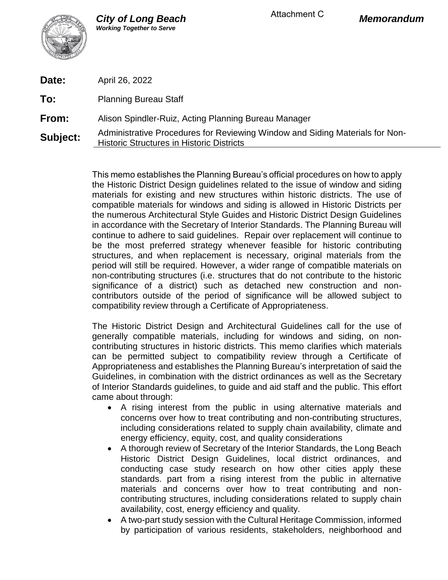

| Date:           | April 26, 2022                                                                                                                   |
|-----------------|----------------------------------------------------------------------------------------------------------------------------------|
| To:             | <b>Planning Bureau Staff</b>                                                                                                     |
| From:           | Alison Spindler-Ruiz, Acting Planning Bureau Manager                                                                             |
| <b>Subject:</b> | Administrative Procedures for Reviewing Window and Siding Materials for Non-<br><b>Historic Structures in Historic Districts</b> |

This memo establishes the Planning Bureau's official procedures on how to apply the Historic District Design guidelines related to the issue of window and siding materials for existing and new structures within historic districts. The use of compatible materials for windows and siding is allowed in Historic Districts per the numerous Architectural Style Guides and Historic District Design Guidelines in accordance with the Secretary of Interior Standards. The Planning Bureau will continue to adhere to said guidelines. Repair over replacement will continue to be the most preferred strategy whenever feasible for historic contributing structures, and when replacement is necessary, original materials from the period will still be required. However, a wider range of compatible materials on non-contributing structures (i.e. structures that do not contribute to the historic significance of a district) such as detached new construction and noncontributors outside of the period of significance will be allowed subject to compatibility review through a Certificate of Appropriateness.

The Historic District Design and Architectural Guidelines call for the use of generally compatible materials, including for windows and siding, on noncontributing structures in historic districts. This memo clarifies which materials can be permitted subject to compatibility review through a Certificate of Appropriateness and establishes the Planning Bureau's interpretation of said the Guidelines, in combination with the district ordinances as well as the Secretary of Interior Standards guidelines, to guide and aid staff and the public. This effort came about through:

- A rising interest from the public in using alternative materials and concerns over how to treat contributing and non-contributing structures, including considerations related to supply chain availability, climate and energy efficiency, equity, cost, and quality considerations
- A thorough review of Secretary of the Interior Standards, the Long Beach Historic District Design Guidelines, local district ordinances, and conducting case study research on how other cities apply these standards. part from a rising interest from the public in alternative materials and concerns over how to treat contributing and noncontributing structures, including considerations related to supply chain availability, cost, energy efficiency and quality.
- A two-part study session with the Cultural Heritage Commission, informed by participation of various residents, stakeholders, neighborhood and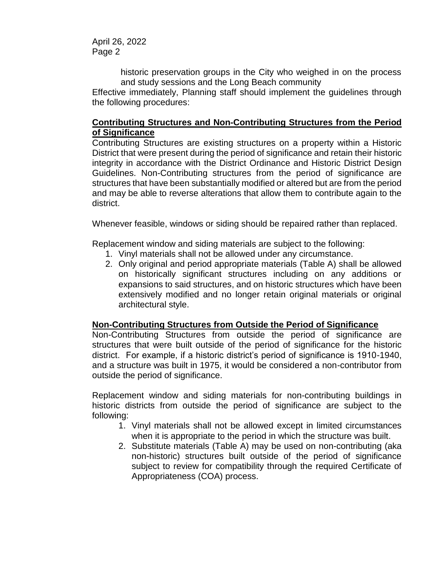April 26, 2022 Page 2

> historic preservation groups in the City who weighed in on the process and study sessions and the Long Beach community

Effective immediately, Planning staff should implement the guidelines through the following procedures:

## **Contributing Structures and Non-Contributing Structures from the Period of Significance**

Contributing Structures are existing structures on a property within a Historic District that were present during the period of significance and retain their historic integrity in accordance with the District Ordinance and Historic District Design Guidelines. Non-Contributing structures from the period of significance are structures that have been substantially modified or altered but are from the period and may be able to reverse alterations that allow them to contribute again to the district.

Whenever feasible, windows or siding should be repaired rather than replaced.

Replacement window and siding materials are subject to the following:

- 1. Vinyl materials shall not be allowed under any circumstance.
- 2. Only original and period appropriate materials (Table A) shall be allowed on historically significant structures including on any additions or expansions to said structures, and on historic structures which have been extensively modified and no longer retain original materials or original architectural style.

## **Non-Contributing Structures from Outside the Period of Significance**

Non-Contributing Structures from outside the period of significance are structures that were built outside of the period of significance for the historic district. For example, if a historic district's period of significance is 1910-1940, and a structure was built in 1975, it would be considered a non-contributor from outside the period of significance.

Replacement window and siding materials for non-contributing buildings in historic districts from outside the period of significance are subject to the following:

- 1. Vinyl materials shall not be allowed except in limited circumstances when it is appropriate to the period in which the structure was built.
- 2. Substitute materials (Table A) may be used on non-contributing (aka non-historic) structures built outside of the period of significance subject to review for compatibility through the required Certificate of Appropriateness (COA) process.